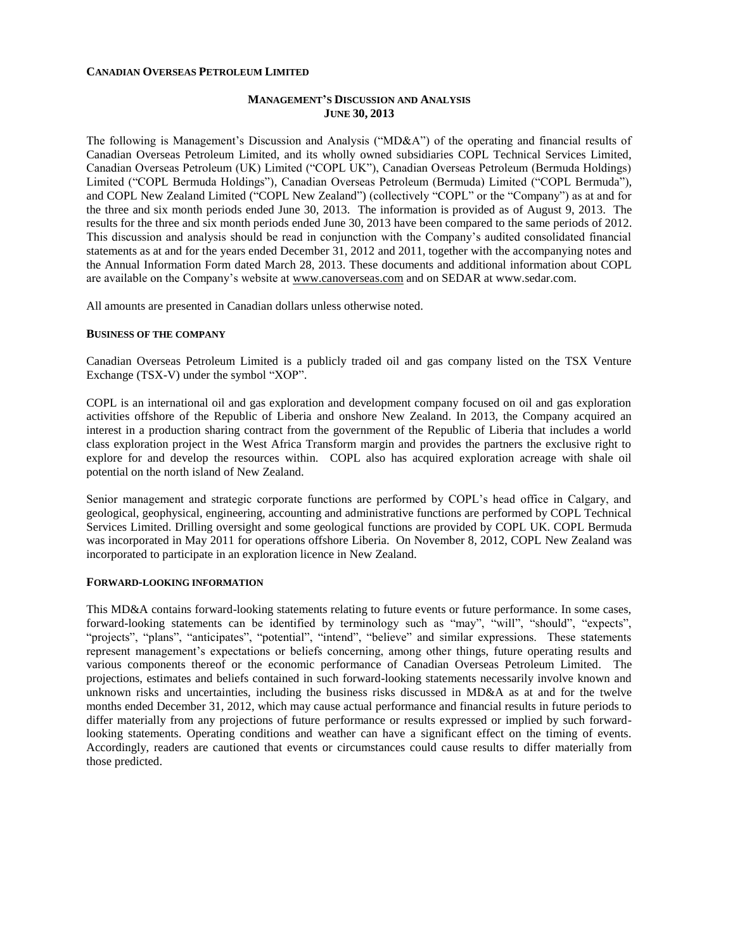### **CANADIAN OVERSEAS PETROLEUM LIMITED**

## **MANAGEMENT'S DISCUSSION AND ANALYSIS JUNE 30, 2013**

The following is Management's Discussion and Analysis ("MD&A") of the operating and financial results of Canadian Overseas Petroleum Limited, and its wholly owned subsidiaries COPL Technical Services Limited, Canadian Overseas Petroleum (UK) Limited ("COPL UK"), Canadian Overseas Petroleum (Bermuda Holdings) Limited ("COPL Bermuda Holdings"), Canadian Overseas Petroleum (Bermuda) Limited ("COPL Bermuda"), and COPL New Zealand Limited ("COPL New Zealand") (collectively "COPL" or the "Company") as at and for the three and six month periods ended June 30, 2013. The information is provided as of August 9, 2013. The results for the three and six month periods ended June 30, 2013 have been compared to the same periods of 2012. This discussion and analysis should be read in conjunction with the Company's audited consolidated financial statements as at and for the years ended December 31, 2012 and 2011, together with the accompanying notes and the Annual Information Form dated March 28, 2013. These documents and additional information about COPL are available on the Company's website at [www.canoverseas.com](http://www.canoverseas.com/) and on SEDAR at [www.sedar.com.](http://www.sedar.com/)

All amounts are presented in Canadian dollars unless otherwise noted.

### **BUSINESS OF THE COMPANY**

Canadian Overseas Petroleum Limited is a publicly traded oil and gas company listed on the TSX Venture Exchange (TSX-V) under the symbol "XOP".

COPL is an international oil and gas exploration and development company focused on oil and gas exploration activities offshore of the Republic of Liberia and onshore New Zealand. In 2013, the Company acquired an interest in a production sharing contract from the government of the Republic of Liberia that includes a world class exploration project in the West Africa Transform margin and provides the partners the exclusive right to explore for and develop the resources within. COPL also has acquired exploration acreage with shale oil potential on the north island of New Zealand.

Senior management and strategic corporate functions are performed by COPL's head office in Calgary, and geological, geophysical, engineering, accounting and administrative functions are performed by COPL Technical Services Limited. Drilling oversight and some geological functions are provided by COPL UK. COPL Bermuda was incorporated in May 2011 for operations offshore Liberia. On November 8, 2012, COPL New Zealand was incorporated to participate in an exploration licence in New Zealand.

#### **FORWARD-LOOKING INFORMATION**

This MD&A contains forward-looking statements relating to future events or future performance. In some cases, forward-looking statements can be identified by terminology such as "may", "will", "should", "expects", "projects", "plans", "anticipates", "potential", "intend", "believe" and similar expressions. These statements represent management's expectations or beliefs concerning, among other things, future operating results and various components thereof or the economic performance of Canadian Overseas Petroleum Limited. The projections, estimates and beliefs contained in such forward-looking statements necessarily involve known and unknown risks and uncertainties, including the business risks discussed in MD&A as at and for the twelve months ended December 31, 2012, which may cause actual performance and financial results in future periods to differ materially from any projections of future performance or results expressed or implied by such forwardlooking statements. Operating conditions and weather can have a significant effect on the timing of events. Accordingly, readers are cautioned that events or circumstances could cause results to differ materially from those predicted.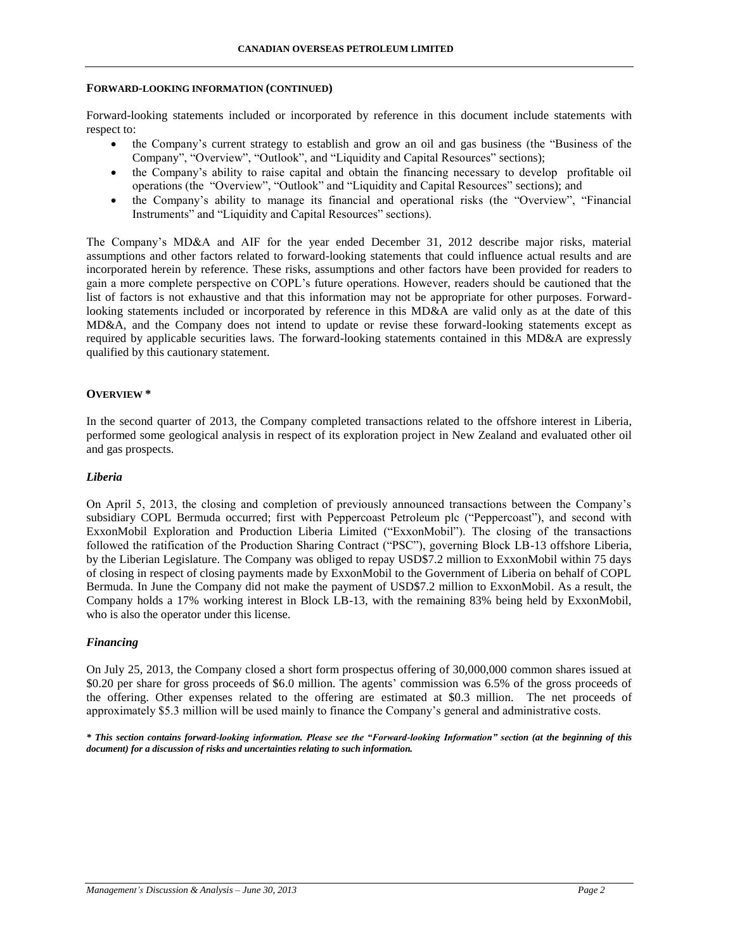### **FORWARD-LOOKING INFORMATION (CONTINUED)**

Forward-looking statements included or incorporated by reference in this document include statements with respect to:

- the Company's current strategy to establish and grow an oil and gas business (the "Business of the Company", "Overview", "Outlook", and "Liquidity and Capital Resources" sections);
- the Company's ability to raise capital and obtain the financing necessary to develop profitable oil operations (the "Overview", "Outlook" and "Liquidity and Capital Resources" sections); and
- the Company's ability to manage its financial and operational risks (the "Overview", "Financial Instruments" and "Liquidity and Capital Resources" sections).

The Company's MD&A and AIF for the year ended December 31, 2012 describe major risks, material assumptions and other factors related to forward-looking statements that could influence actual results and are incorporated herein by reference. These risks, assumptions and other factors have been provided for readers to gain a more complete perspective on COPL's future operations. However, readers should be cautioned that the list of factors is not exhaustive and that this information may not be appropriate for other purposes. Forwardlooking statements included or incorporated by reference in this MD&A are valid only as at the date of this MD&A, and the Company does not intend to update or revise these forward-looking statements except as required by applicable securities laws. The forward-looking statements contained in this MD&A are expressly qualified by this cautionary statement.

## **OVERVIEW \***

In the second quarter of 2013, the Company completed transactions related to the offshore interest in Liberia, performed some geological analysis in respect of its exploration project in New Zealand and evaluated other oil and gas prospects.

## *Liberia*

On April 5, 2013, the closing and completion of previously announced transactions between the Company's subsidiary COPL Bermuda occurred; first with Peppercoast Petroleum plc ("Peppercoast"), and second with ExxonMobil Exploration and Production Liberia Limited ("ExxonMobil"). The closing of the transactions followed the ratification of the Production Sharing Contract ("PSC"), governing Block LB-13 offshore Liberia, by the Liberian Legislature. The Company was obliged to repay USD\$7.2 million to ExxonMobil within 75 days of closing in respect of closing payments made by ExxonMobil to the Government of Liberia on behalf of COPL Bermuda. In June the Company did not make the payment of USD\$7.2 million to ExxonMobil. As a result, the Company holds a 17% working interest in Block LB-13, with the remaining 83% being held by ExxonMobil, who is also the operator under this license.

## *Financing*

On July 25, 2013, the Company closed a short form prospectus offering of 30,000,000 common shares issued at \$0.20 per share for gross proceeds of \$6.0 million. The agents' commission was 6.5% of the gross proceeds of the offering. Other expenses related to the offering are estimated at \$0.3 million. The net proceeds of approximately \$5.3 million will be used mainly to finance the Company's general and administrative costs.

*\* This section contains forward-looking information. Please see the "Forward-looking Information" section (at the beginning of this document) for a discussion of risks and uncertainties relating to such information.*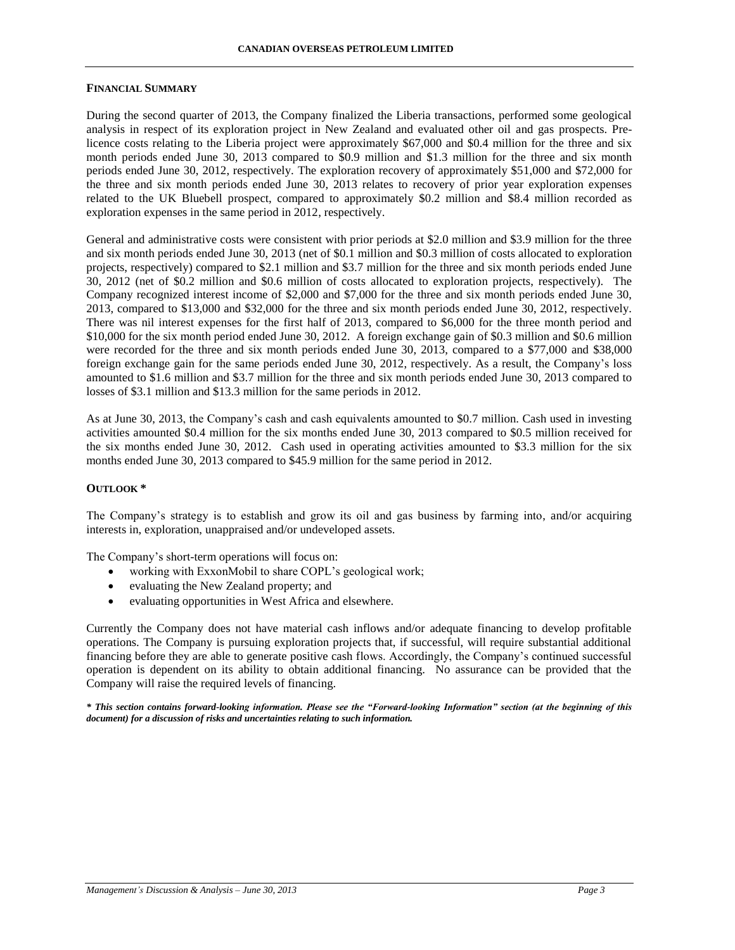### **FINANCIAL SUMMARY**

During the second quarter of 2013, the Company finalized the Liberia transactions, performed some geological analysis in respect of its exploration project in New Zealand and evaluated other oil and gas prospects. Prelicence costs relating to the Liberia project were approximately \$67,000 and \$0.4 million for the three and six month periods ended June 30, 2013 compared to \$0.9 million and \$1.3 million for the three and six month periods ended June 30, 2012, respectively. The exploration recovery of approximately \$51,000 and \$72,000 for the three and six month periods ended June 30, 2013 relates to recovery of prior year exploration expenses related to the UK Bluebell prospect, compared to approximately \$0.2 million and \$8.4 million recorded as exploration expenses in the same period in 2012, respectively.

General and administrative costs were consistent with prior periods at \$2.0 million and \$3.9 million for the three and six month periods ended June 30, 2013 (net of \$0.1 million and \$0.3 million of costs allocated to exploration projects, respectively) compared to \$2.1 million and \$3.7 million for the three and six month periods ended June 30, 2012 (net of \$0.2 million and \$0.6 million of costs allocated to exploration projects, respectively). The Company recognized interest income of \$2,000 and \$7,000 for the three and six month periods ended June 30, 2013, compared to \$13,000 and \$32,000 for the three and six month periods ended June 30, 2012, respectively. There was nil interest expenses for the first half of 2013, compared to \$6,000 for the three month period and \$10,000 for the six month period ended June 30, 2012. A foreign exchange gain of \$0.3 million and \$0.6 million were recorded for the three and six month periods ended June 30, 2013, compared to a \$77,000 and \$38,000 foreign exchange gain for the same periods ended June 30, 2012, respectively. As a result, the Company's loss amounted to \$1.6 million and \$3.7 million for the three and six month periods ended June 30, 2013 compared to losses of \$3.1 million and \$13.3 million for the same periods in 2012.

As at June 30, 2013, the Company's cash and cash equivalents amounted to \$0.7 million. Cash used in investing activities amounted \$0.4 million for the six months ended June 30, 2013 compared to \$0.5 million received for the six months ended June 30, 2012. Cash used in operating activities amounted to \$3.3 million for the six months ended June 30, 2013 compared to \$45.9 million for the same period in 2012.

## **OUTLOOK \***

The Company's strategy is to establish and grow its oil and gas business by farming into, and/or acquiring interests in, exploration, unappraised and/or undeveloped assets.

The Company's short-term operations will focus on:

- working with ExxonMobil to share COPL's geological work;
- evaluating the New Zealand property; and
- evaluating opportunities in West Africa and elsewhere.

Currently the Company does not have material cash inflows and/or adequate financing to develop profitable operations. The Company is pursuing exploration projects that, if successful, will require substantial additional financing before they are able to generate positive cash flows. Accordingly, the Company's continued successful operation is dependent on its ability to obtain additional financing. No assurance can be provided that the Company will raise the required levels of financing.

*\* This section contains forward-looking information. Please see the "Forward-looking Information" section (at the beginning of this document) for a discussion of risks and uncertainties relating to such information.*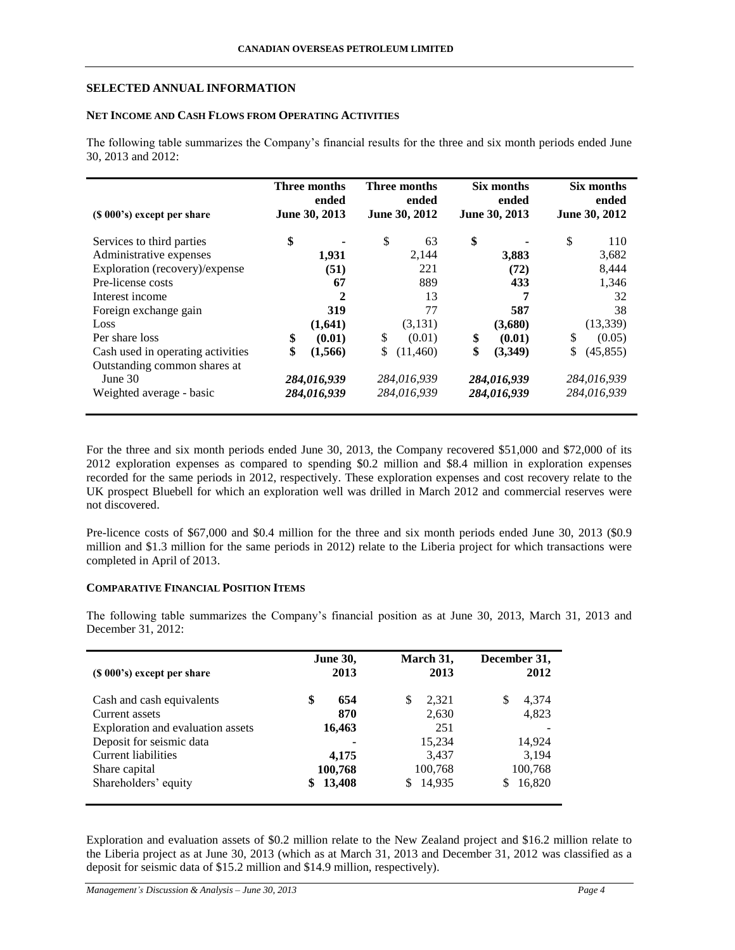## **SELECTED ANNUAL INFORMATION**

## **NET INCOME AND CASH FLOWS FROM OPERATING ACTIVITIES**

The following table summarizes the Company's financial results for the three and six month periods ended June 30, 2013 and 2012:

| (\$\\ 000\, 000\, 000\, 000\, 000\, 000\, 000\, 000\, 000\, 000\, 000\, 000\, 000\, 000\, 000\, 000\, 000\, 000 | Three months<br>ended<br>June 30, 2013 |              | <b>Three months</b><br>ended<br>June 30, 2012 |             | Six months<br>ended<br>June 30, 2013 |             | Six months<br>ended<br>June 30, 2012 |             |
|-----------------------------------------------------------------------------------------------------------------|----------------------------------------|--------------|-----------------------------------------------|-------------|--------------------------------------|-------------|--------------------------------------|-------------|
| Services to third parties                                                                                       | \$                                     |              | \$                                            | 63          | \$                                   |             | \$                                   | 110         |
| Administrative expenses                                                                                         |                                        | 1,931        |                                               | 2,144       |                                      | 3,883       |                                      | 3,682       |
| Exploration (recovery)/expense                                                                                  |                                        | (51)         |                                               | 221         |                                      | (72)        |                                      | 8,444       |
| Pre-license costs                                                                                               |                                        | 67           |                                               | 889         |                                      | 433         |                                      | 1,346       |
| Interest income                                                                                                 |                                        | $\mathbf{2}$ |                                               | 13          |                                      | 7           |                                      | 32          |
| Foreign exchange gain                                                                                           |                                        | 319          |                                               | 77          |                                      | 587         |                                      | 38          |
| Loss                                                                                                            |                                        | (1,641)      |                                               | (3,131)     |                                      | (3,680)     |                                      | (13, 339)   |
| Per share loss                                                                                                  | \$                                     | (0.01)       | \$                                            | (0.01)      | S                                    | (0.01)      | \$                                   | (0.05)      |
| Cash used in operating activities                                                                               | \$                                     | (1, 566)     | \$                                            | (11,460)    | \$                                   | (3,349)     | \$                                   | (45, 855)   |
| Outstanding common shares at                                                                                    |                                        |              |                                               |             |                                      |             |                                      |             |
| June $30$                                                                                                       | 284,016,939                            |              | 284,016,939                                   |             | 284,016,939                          |             | 284,016,939                          |             |
| Weighted average - basic                                                                                        |                                        | 284,016,939  |                                               | 284,016,939 |                                      | 284,016,939 |                                      | 284,016,939 |

For the three and six month periods ended June 30, 2013, the Company recovered \$51,000 and \$72,000 of its 2012 exploration expenses as compared to spending \$0.2 million and \$8.4 million in exploration expenses recorded for the same periods in 2012, respectively. These exploration expenses and cost recovery relate to the UK prospect Bluebell for which an exploration well was drilled in March 2012 and commercial reserves were not discovered.

Pre-licence costs of \$67,000 and \$0.4 million for the three and six month periods ended June 30, 2013 (\$0.9) million and \$1.3 million for the same periods in 2012) relate to the Liberia project for which transactions were completed in April of 2013.

## **COMPARATIVE FINANCIAL POSITION ITEMS**

The following table summarizes the Company's financial position as at June 30, 2013, March 31, 2013 and December 31, 2012:

| $(S 000's)$ except per share      | <b>June 30,</b><br>2013 | March 31,<br>2013 | December 31,<br>2012 |
|-----------------------------------|-------------------------|-------------------|----------------------|
| Cash and cash equivalents         | \$<br>654               | \$<br>2,321       | 4,374<br>S           |
| Current assets                    | 870                     | 2,630             | 4,823                |
| Exploration and evaluation assets | 16,463                  | 251               |                      |
| Deposit for seismic data          |                         | 15,234            | 14,924               |
| <b>Current liabilities</b>        | 4,175                   | 3,437             | 3,194                |
| Share capital                     | 100,768                 | 100,768           | 100,768              |
| Shareholders' equity              | 13,408                  | 14,935<br>\$      | 16,820<br>S          |

Exploration and evaluation assets of \$0.2 million relate to the New Zealand project and \$16.2 million relate to the Liberia project as at June 30, 2013 (which as at March 31, 2013 and December 31, 2012 was classified as a deposit for seismic data of \$15.2 million and \$14.9 million, respectively).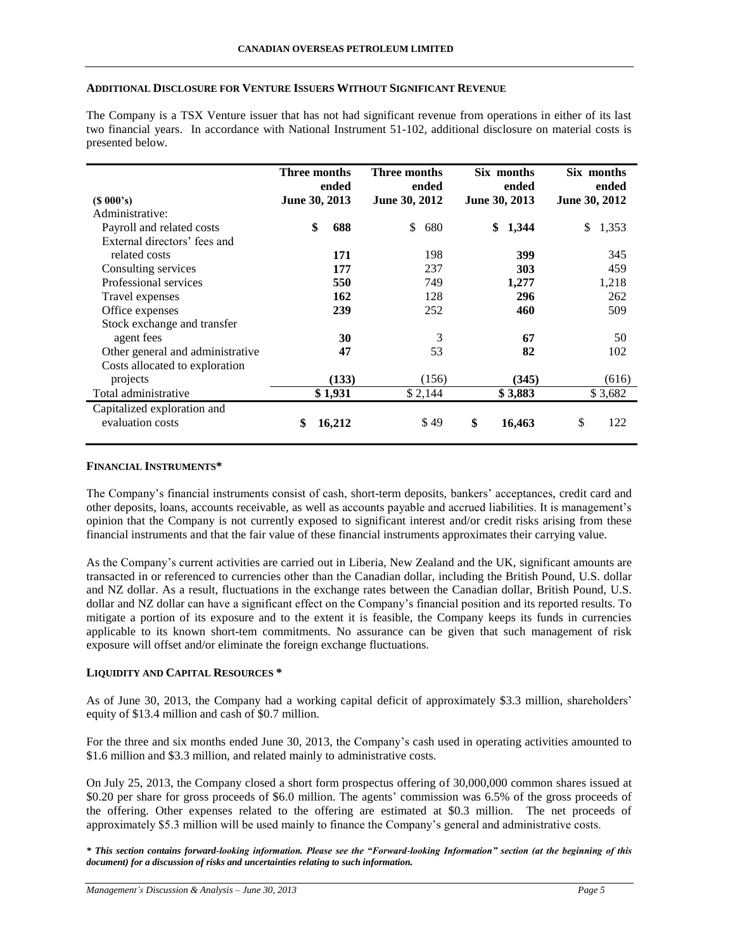## **ADDITIONAL DISCLOSURE FOR VENTURE ISSUERS WITHOUT SIGNIFICANT REVENUE**

The Company is a TSX Venture issuer that has not had significant revenue from operations in either of its last two financial years. In accordance with National Instrument 51-102, additional disclosure on material costs is presented below.

|                                  | Three months  | ended   | Three months  | ended   |               | Six months<br>ended |               | Six months<br>ended |
|----------------------------------|---------------|---------|---------------|---------|---------------|---------------------|---------------|---------------------|
| $(S\ 000's)$                     | June 30, 2013 |         | June 30, 2012 |         | June 30, 2013 |                     | June 30, 2012 |                     |
| Administrative:                  |               |         |               |         |               |                     |               |                     |
| Payroll and related costs        | \$            | 688     | \$            | 680     | \$            | 1,344               | \$            | 1,353               |
| External directors' fees and     |               |         |               |         |               |                     |               |                     |
| related costs                    |               | 171     |               | 198     |               | 399                 |               | 345                 |
| Consulting services              |               | 177     |               | 237     |               | 303                 |               | 459                 |
| Professional services            |               | 550     |               | 749     |               | 1,277               |               | 1,218               |
| Travel expenses                  |               | 162     |               | 128     |               | 296                 |               | 262                 |
| Office expenses                  |               | 239     |               | 252     |               | 460                 |               | 509                 |
| Stock exchange and transfer      |               |         |               |         |               |                     |               |                     |
| agent fees                       |               | 30      |               | 3       |               | 67                  |               | 50                  |
| Other general and administrative |               | 47      |               | 53      |               | 82                  |               | 102                 |
| Costs allocated to exploration   |               |         |               |         |               |                     |               |                     |
| projects                         |               | (133)   |               | (156)   |               | (345)               |               | (616)               |
| Total administrative             |               | \$1,931 |               | \$2,144 |               | \$3,883             |               | \$3,682             |
| Capitalized exploration and      |               |         |               |         |               |                     |               |                     |
| evaluation costs                 | \$            | 16,212  |               | \$49    | \$            | 16,463              | \$            | 122                 |

### **FINANCIAL INSTRUMENTS\***

The Company's financial instruments consist of cash, short-term deposits, bankers' acceptances, credit card and other deposits, loans, accounts receivable, as well as accounts payable and accrued liabilities. It is management's opinion that the Company is not currently exposed to significant interest and/or credit risks arising from these financial instruments and that the fair value of these financial instruments approximates their carrying value.

As the Company's current activities are carried out in Liberia, New Zealand and the UK, significant amounts are transacted in or referenced to currencies other than the Canadian dollar, including the British Pound, U.S. dollar and NZ dollar. As a result, fluctuations in the exchange rates between the Canadian dollar, British Pound, U.S. dollar and NZ dollar can have a significant effect on the Company's financial position and its reported results. To mitigate a portion of its exposure and to the extent it is feasible, the Company keeps its funds in currencies applicable to its known short-tem commitments. No assurance can be given that such management of risk exposure will offset and/or eliminate the foreign exchange fluctuations.

## **LIQUIDITY AND CAPITAL RESOURCES \***

As of June 30, 2013, the Company had a working capital deficit of approximately \$3.3 million, shareholders' equity of \$13.4 million and cash of \$0.7 million.

For the three and six months ended June 30, 2013, the Company's cash used in operating activities amounted to \$1.6 million and \$3.3 million, and related mainly to administrative costs.

On July 25, 2013, the Company closed a short form prospectus offering of 30,000,000 common shares issued at \$0.20 per share for gross proceeds of \$6.0 million. The agents' commission was 6.5% of the gross proceeds of the offering. Other expenses related to the offering are estimated at \$0.3 million. The net proceeds of approximately \$5.3 million will be used mainly to finance the Company's general and administrative costs.

*\* This section contains forward-looking information. Please see the "Forward-looking Information" section (at the beginning of this document) for a discussion of risks and uncertainties relating to such information.*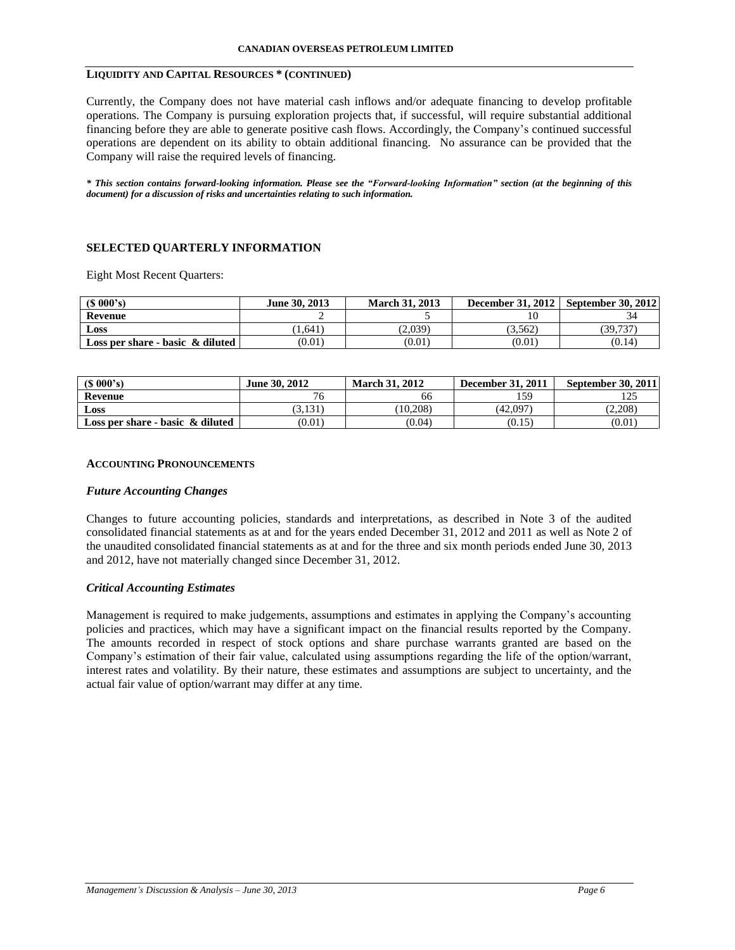## **LIQUIDITY AND CAPITAL RESOURCES \* (CONTINUED)**

Currently, the Company does not have material cash inflows and/or adequate financing to develop profitable operations. The Company is pursuing exploration projects that, if successful, will require substantial additional financing before they are able to generate positive cash flows. Accordingly, the Company's continued successful operations are dependent on its ability to obtain additional financing. No assurance can be provided that the Company will raise the required levels of financing.

*\* This section contains forward-looking information. Please see the "Forward-looking Information" section (at the beginning of this document) for a discussion of risks and uncertainties relating to such information.*

# **SELECTED QUARTERLY INFORMATION**

Eight Most Recent Quarters:

| $(S\ 000's)$                        | June 30, 2013 | <b>March 31, 2013</b> | <b>December 31, 2012</b> | <b>September 30, 2012</b> |
|-------------------------------------|---------------|-----------------------|--------------------------|---------------------------|
| Revenue                             |               |                       |                          |                           |
| Loss                                | 1.641         | (2.039)               | (3.562)                  | 39,737                    |
| Loss per share - basic $\&$ diluted | (0.01)        | (0.01)                | (0.01)                   | (0.14)                    |

| (S 000's)                           | June 30, 2012 | <b>March 31, 2012</b> | <b>December 31, 2011</b> | <b>September 30, 2011</b> |
|-------------------------------------|---------------|-----------------------|--------------------------|---------------------------|
| Revenue                             |               | bt                    | 159                      |                           |
| Loss                                | 3,131         | (10.208)              | (42.097)                 | (2.208)                   |
| Loss per share - basic $\&$ diluted | (0.01)        | (0.04)                | (0.15)                   | (0.01)                    |

### **ACCOUNTING PRONOUNCEMENTS**

## *Future Accounting Changes*

Changes to future accounting policies, standards and interpretations, as described in Note 3 of the audited consolidated financial statements as at and for the years ended December 31, 2012 and 2011 as well as Note 2 of the unaudited consolidated financial statements as at and for the three and six month periods ended June 30, 2013 and 2012, have not materially changed since December 31, 2012.

## *Critical Accounting Estimates*

Management is required to make judgements, assumptions and estimates in applying the Company's accounting policies and practices, which may have a significant impact on the financial results reported by the Company. The amounts recorded in respect of stock options and share purchase warrants granted are based on the Company's estimation of their fair value, calculated using assumptions regarding the life of the option/warrant, interest rates and volatility. By their nature, these estimates and assumptions are subject to uncertainty, and the actual fair value of option/warrant may differ at any time.